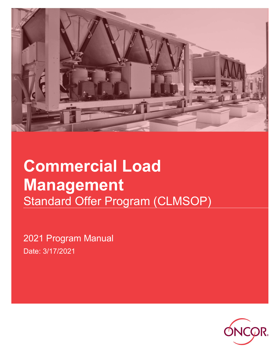

# Commercial Load Management Standard Offer Program (CLMSOP)

2021 Program Manual Date: 3/17/2021

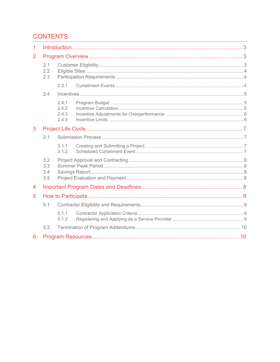# **CONTENTS**

| 1 |                          |                                  |  |  |  |  |  |
|---|--------------------------|----------------------------------|--|--|--|--|--|
| 2 |                          |                                  |  |  |  |  |  |
|   | 2.1<br>2.2<br>2.3        |                                  |  |  |  |  |  |
|   |                          | 2.3.1                            |  |  |  |  |  |
|   | 2.4                      |                                  |  |  |  |  |  |
|   |                          | 2.4.1<br>2.4.2<br>2.4.3<br>2.4.4 |  |  |  |  |  |
| 3 |                          |                                  |  |  |  |  |  |
|   | 3.1                      |                                  |  |  |  |  |  |
|   |                          | 3.1.1<br>3.1.2                   |  |  |  |  |  |
|   | 3.2<br>3.3<br>3.4<br>3.5 |                                  |  |  |  |  |  |
| 4 |                          |                                  |  |  |  |  |  |
| 5 |                          |                                  |  |  |  |  |  |
|   | 5.1                      |                                  |  |  |  |  |  |
|   |                          | 5.1.1<br>5.1.2                   |  |  |  |  |  |
|   | 5.2                      |                                  |  |  |  |  |  |
| 6 |                          |                                  |  |  |  |  |  |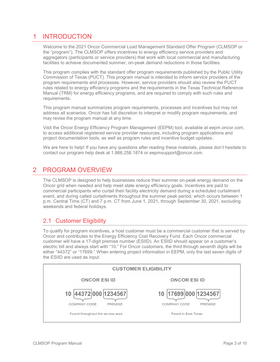# 1 INTRODUCTION

Welcome to the 2021 Oncor Commercial Load Management Standard Offer Program (CLMSOP or the "program"). The CLMSOP offers incentives to energy efficiency service providers and aggregators (participants or service providers) that work with local commercial and manufacturing facilities to achieve documented summer, on-peak demand reductions in those facilities.

This program complies with the standard offer program requirements published by the Public Utility Commission of Texas (PUCT). This program manual is intended to inform service providers of the program requirements and processes. However, service providers should also review the PUCT rules related to energy efficiency programs and the requirements in the Texas Technical Reference Manual (TRM) for energy efficiency programs, and are required to comply with such rules and requirements.

This program manual summarizes program requirements, processes and incentives but may not address all scenarios. Oncor has full discretion to interpret or modify program requirements, and may revise the program manual at any time.

Visit the Oncor Energy Efficiency Program Management (EEPM) tool, available at eepm.oncor.com, to access additional registered service provider resources, including program applications and project documentation tools, as well as program rules and incentive budget updates.

We are here to help! If you have any questions after reading these materials, please don't hesitate to contact our program help desk at 1.866.258.1874 or eepmsupport@oncor.com.

## 2 PROGRAM OVERVIEW

The CLMSOP is designed to help businesses reduce their summer on-peak energy demand on the Oncor grid when needed and help meet state energy efficiency goals. Incentives are paid to commercial participants who curtail their facility electricity demand during a scheduled curtailment event, and during called curtailments throughout the summer peak period, which occurs between 1 p.m. Central Time (CT) and 7 p.m. CT from June 1, 2021, through September 30, 2021, excluding weekends and federal holidays.

## 2.1 Customer Eligibility

To qualify for program incentives, a host customer must be a commercial customer that is served by Oncor and contributes to the Energy Efficiency Cost Recovery Fund. Each Oncor commercial customer will have a 17-digit premise number (ESIID). An ESIID should appear on a customer's electric bill and always start with "10." For Oncor customers, the third through seventh digits will be either "44372" or "17699." When entering project information in EEPM, only the last seven digits of the ESIID are used as input.

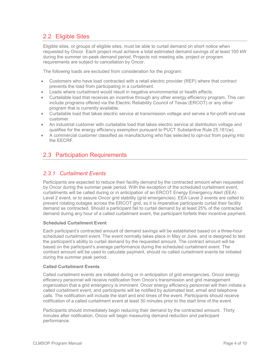## 2.2 Eligible Sites

Eligible sites, or groups of eligible sites, must be able to curtail demand on short notice when requested by Oncor. Each project must achieve a total estimated demand savings of at least 100 kW during the summer on-peak demand period. Projects not meeting site, project or program requirements are subject to cancellation by Oncor.

The following loads are excluded from consideration for the program:

- Customers who have load contracted with a retail electric provider (REP) where that contract prevents the load from participating in a curtailment.
- Loads where curtailment would result in negative environmental or health effects.
- Curtailable load that receives an incentive through any other energy efficiency program. This can include programs offered via the Electric Reliability Council of Texas (ERCOT) or any other program that is currently available.
- Curtailable load that takes electric service at transmission voltage and serves a for-profit end-use customer.
- An industrial customer with curtailable load that takes electric service at distribution voltage and qualifies for the energy efficiency exemption pursuant to PUCT Substantive Rule 25.181(w).
- A commercial customer classified as manufacturing who has selected to opt-out from paying into the EECRF.

## 2.3 Participation Requirements

## 2.3.1 Curtailment Events

Participants are expected to reduce their facility demand by the contracted amount when requested by Oncor during the summer peak period. With the exception of the scheduled curtailment event, curtailments will be called during or in anticipation of an ERCOT Energy Emergency Alert (EEA) Level 2 event, or to assure Oncor grid stability (grid emergencies). EEA Level 2 events are called to prevent rotating outages across the ERCOT grid, so it is imperative participants curtail their facility demand as contracted. Should a participant fail to curtail demand by at least 25% of the contracted demand during any hour of a called curtailment event, the participant forfeits their incentive payment.

#### Scheduled Curtailment Event

Each participant's contracted amount of demand savings will be established based on a three-hour scheduled curtailment event. The event normally takes place in May or June, and is designed to test the participant's ability to curtail demand by the requested amount. The contract amount will be based on the participant's average performance during the scheduled curtailment event. The contract amount will be used to calculate payment, should no called curtailment events be initiated during the summer peak period.

#### Called Curtailment Events

Called curtailment events are initiated during or in anticipation of grid emergencies. Oncor energy efficiency personnel will receive notification from Oncor's transmission and grid management organization that a grid emergency is imminent. Oncor energy efficiency personnel will then initiate a called curtailment event, and participants will be notified by automated text, email and telephone calls. The notification will include the start and end times of the event. Participants should receive notification of a called curtailment event at least 30 minutes prior to the start time of the event.

Participants should immediately begin reducing their demand by the contracted amount. Thirty minutes after notification, Oncor will begin measuring demand reduction and participant performance.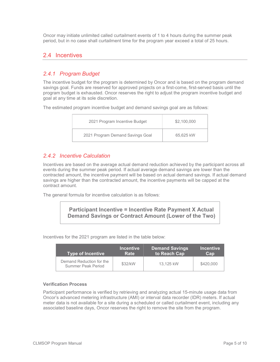Oncor may initiate unlimited called curtailment events of 1 to 4 hours during the summer peak period, but in no case shall curtailment time for the program year exceed a total of 25 hours.

## 2.4 Incentives

## 2.4.1 Program Budget

The incentive budget for the program is determined by Oncor and is based on the program demand savings goal. Funds are reserved for approved projects on a first-come, first-served basis until the program budget is exhausted. Oncor reserves the right to adjust the program incentive budget and goal at any time at its sole discretion.

The estimated program incentive budget and demand savings goal are as follows:

| 2021 Program Incentive Budget    | \$2,100,000 |
|----------------------------------|-------------|
| 2021 Program Demand Savings Goal | 65.625 kW   |

#### 2.4.2 Incentive Calculation

Incentives are based on the average actual demand reduction achieved by the participant across all events during the summer peak period. If actual average demand savings are lower than the contracted amount, the incentive payment will be based on actual demand savings. If actual demand savings are higher than the contracted amount, the incentive payments will be capped at the contract amount.

The general formula for incentive calculation is as follows:

#### Participant Incentive = Incentive Rate Payment X Actual Demand Savings or Contract Amount (Lower of the Two)

Incentives for the 2021 program are listed in the table below:

| <b>Type of Incentive</b>                       | <b>Incentive</b><br>Rate | <b>Demand Savings</b><br>to Reach Cap | <b>Incentive</b><br>Cap |
|------------------------------------------------|--------------------------|---------------------------------------|-------------------------|
| Demand Reduction for the<br>Summer Peak Period | \$32/kW                  | 13.125 kW                             | \$420,000               |

#### Verification Process

Participant performance is verified by retrieving and analyzing actual 15-minute usage data from Oncor's advanced metering infrastructure (AMI) or interval data recorder (IDR) meters. If actual meter data is not available for a site during a scheduled or called curtailment event, including any associated baseline days, Oncor reserves the right to remove the site from the program.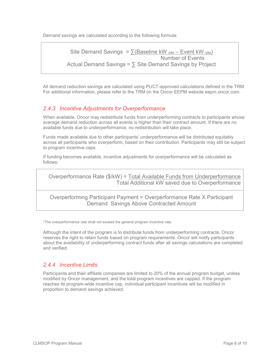Demand savings are calculated according to the following formula:

```
Site Demand Savings = \sum (Baseline kW site – Event kW site)
                                       Number of Events 
Actual Demand Savings = \sum Site Demand Savings by Project
```
All demand reduction savings are calculated using PUCT-approved calculations defined in the TRM. For additional information, please refer to the TRM on the Oncor EEPM website eepm.oncor.com.

#### 2.4.3 Incentive Adjustments for Overperformance

When available, Oncor may redistribute funds from underperforming contracts to participants whose average demand reduction across all events is higher than their contract amount. If there are no available funds due to underperformance, no redistribution will take place.

Funds made available due to other participants' underperformance will be distributed equitably across all participants who overperform, based on their contribution. Participants may still be subject to program incentive caps.

If funding becomes available, incentive adjustments for overperformance will be calculated as follows:

Overperformance Rate (\$/kW) = Total Available Funds from Underperformance Total Additional kW saved due to Overperformance

Overperforming Participant Payment = Overperformance Rate X Participant Demand Savings Above Contracted Amount

\*The overperformance rate shall not exceed the general program incentive rate.

Although the intent of the program is to distribute funds from underperforming contracts, Oncor reserves the right to retain funds based on program requirements. Oncor will notify participants about the availability of underperforming contract funds after all savings calculations are completed and verified.

#### 2.4.4 Incentive Limits

Participants and their affiliate companies are limited to 20% of the annual program budget, unless modified by Oncor management, and the total program incentives are capped. If the program reaches its program-wide incentive cap, individual participant incentives will be modified in proportion to demand savings achieved.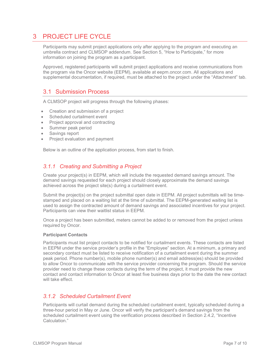# 3 PROJECT LIFE CYCLE

Participants may submit project applications only after applying to the program and executing an umbrella contract and CLMSOP addendum. See Section 5, "How to Participate," for more information on joining the program as a participant.

Approved, registered participants will submit project applications and receive communications from the program via the Oncor website (EEPM), available at eepm.oncor.com. All applications and supplemental documentation, if required, must be attached to the project under the "Attachment" tab.

## 3.1 Submission Process

A CLMSOP project will progress through the following phases:

- Creation and submission of a project
- Scheduled curtailment event
- Project approval and contracting
- Summer peak period
- Savings report
- Project evaluation and payment

Below is an outline of the application process, from start to finish.

#### 3.1.1 Creating and Submitting a Project

Create your project(s) in EEPM, which will include the requested demand savings amount. The demand savings requested for each project should closely approximate the demand savings achieved across the project site(s) during a curtailment event.

Submit the project(s) on the project submittal open date in EEPM. All project submittals will be timestamped and placed on a waiting list at the time of submittal. The EEPM-generated waiting list is used to assign the contracted amount of demand savings and associated incentives for your project. Participants can view their waitlist status in EEPM.

Once a project has been submitted, meters cannot be added to or removed from the project unless required by Oncor.

#### Participant Contacts

Participants must list project contacts to be notified for curtailment events. These contacts are listed in EEPM under the service provider's profile in the "Employee" section. At a minimum, a primary and secondary contact must be listed to receive notification of a curtailment event during the summer peak period. Phone number(s), mobile phone number(s) and email address(es) should be provided to allow Oncor to communicate with the service provider concerning the program. Should the service provider need to change these contacts during the term of the project, it must provide the new contact and contact information to Oncor at least five business days prior to the date the new contact will take effect.

#### 3.1.2 Scheduled Curtailment Event

Participants will curtail demand during the scheduled curtailment event, typically scheduled during a three-hour period in May or June. Oncor will verify the participant's demand savings from the scheduled curtailment event using the verification process described in Section 2.4.2, "Incentive Calculation."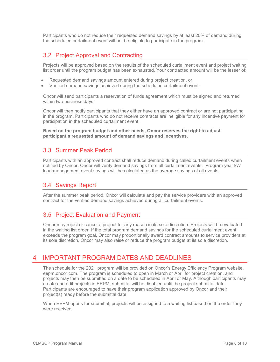Participants who do not reduce their requested demand savings by at least 20% of demand during the scheduled curtailment event will not be eligible to participate in the program.

## 3.2 Project Approval and Contracting

Projects will be approved based on the results of the scheduled curtailment event and project waiting list order until the program budget has been exhausted. Your contracted amount will be the lesser of:

- Requested demand savings amount entered during project creation, or
- Verified demand savings achieved during the scheduled curtailment event.

Oncor will send participants a reservation of funds agreement which must be signed and returned within two business days.

Oncor will then notify participants that they either have an approved contract or are not participating in the program. Participants who do not receive contracts are ineligible for any incentive payment for participation in the scheduled curtailment event.

Based on the program budget and other needs, Oncor reserves the right to adjust participant's requested amount of demand savings and incentives.

## 3.3 Summer Peak Period

Participants with an approved contract shall reduce demand during called curtailment events when notified by Oncor. Oncor will verify demand savings from all curtailment events. Program year kW load management event savings will be calculated as the average savings of all events.

## 3.4 Savings Report

After the summer peak period, Oncor will calculate and pay the service providers with an approved contract for the verified demand savings achieved during all curtailment events.

## 3.5 Project Evaluation and Payment

Oncor may reject or cancel a project for any reason in its sole discretion. Projects will be evaluated in the waiting list order. If the total program demand savings for the scheduled curtailment event exceeds the program goal, Oncor may proportionally award contract amounts to service providers at its sole discretion. Oncor may also raise or reduce the program budget at its sole discretion.

# 4 IMPORTANT PROGRAM DATES AND DEADLINES

The schedule for the 2021 program will be provided on Oncor's Energy Efficiency Program website, eepm.oncor.com. The program is scheduled to open in March or April for project creation, and projects may then be submitted on a date to be scheduled in April or May. Although participants may create and edit projects in EEPM, submittal will be disabled until the project submittal date. Participants are encouraged to have their program application approved by Oncor and their project(s) ready before the submittal date.

When EEPM opens for submittal, projects will be assigned to a waiting list based on the order they were received.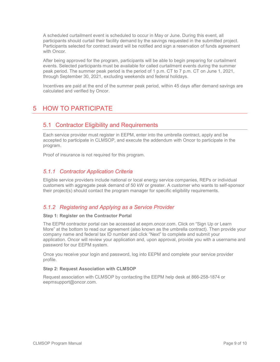A scheduled curtailment event is scheduled to occur in May or June. During this event, all participants should curtail their facility demand by the savings requested in the submitted project. Participants selected for contract award will be notified and sign a reservation of funds agreement with Oncor.

After being approved for the program, participants will be able to begin preparing for curtailment events. Selected participants must be available for called curtailment events during the summer peak period. The summer peak period is the period of 1 p.m. CT to 7 p.m. CT on June 1, 2021, through September 30, 2021, excluding weekends and federal holidays.

Incentives are paid at the end of the summer peak period, within 45 days after demand savings are calculated and verified by Oncor.

# 5 HOW TO PARTICIPATE

## 5.1 Contractor Eligibility and Requirements

Each service provider must register in EEPM, enter into the umbrella contract, apply and be accepted to participate in CLMSOP, and execute the addendum with Oncor to participate in the program.

Proof of insurance is not required for this program.

#### 5.1.1 Contractor Application Criteria

Eligible service providers include national or local energy service companies, REPs or individual customers with aggregate peak demand of 50 kW or greater. A customer who wants to self-sponsor their project(s) should contact the program manager for specific eligibility requirements.

#### 5.1.2 Registering and Applying as a Service Provider

#### Step 1: Register on the Contractor Portal

The EEPM contractor portal can be accessed at eepm.oncor.com. Click on "Sign Up or Learn More" at the bottom to read our agreement (also known as the umbrella contract). Then provide your company name and federal tax ID number and click "Next" to complete and submit your application. Oncor will review your application and, upon approval, provide you with a username and password for our EEPM system.

Once you receive your login and password, log into EEPM and complete your service provider profile.

#### Step 2: Request Association with CLMSOP

Request association with CLMSOP by contacting the EEPM help desk at 866-258-1874 or eepmsupport@oncor.com.